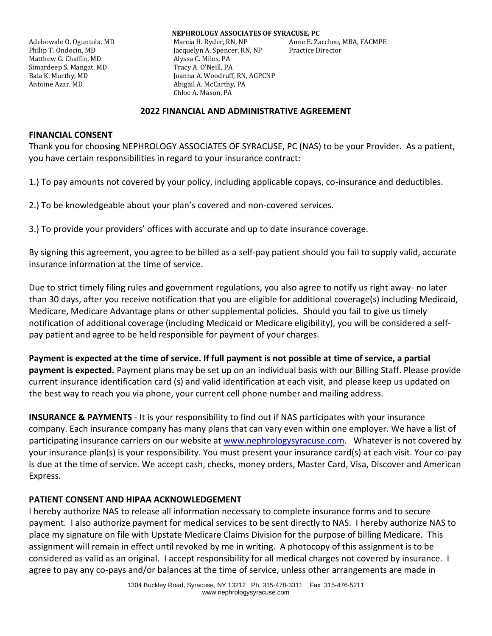Matthew G. Chaffin, MD Alyssa C. Miles, PA Simardeep S. Mangat, MD Tracy A. O'Neill, PA Antoine Azar, MD Abigail A. McCarthy, PA

**NEPHROLOGY ASSOCIATES OF SYRACUSE, PC** Adebowale O. Oguntola, MD Marcia H. Ryder, RN, NP Anne E. Zaccheo, MBA, FACMPE Philip T. Ondocin, MD Jacquelyn A. Spencer, RN, NP Practice Director Bala K. Murthy, MD Joanna A. Woodruff, RN, AGPCNP Chloe A. Mason, PA

#### **2022 FINANCIAL AND ADMINISTRATIVE AGREEMENT**

#### **FINANCIAL CONSENT**

Thank you for choosing NEPHROLOGY ASSOCIATES OF SYRACUSE, PC (NAS) to be your Provider. As a patient, you have certain responsibilities in regard to your insurance contract:

1.) To pay amounts not covered by your policy, including applicable copays, co-insurance and deductibles.

2.) To be knowledgeable about your plan's covered and non-covered services.

3.) To provide your providers' offices with accurate and up to date insurance coverage.

By signing this agreement, you agree to be billed as a self-pay patient should you fail to supply valid, accurate insurance information at the time of service.

Due to strict timely filing rules and government regulations, you also agree to notify us right away- no later than 30 days, after you receive notification that you are eligible for additional coverage(s) including Medicaid, Medicare, Medicare Advantage plans or other supplemental policies. Should you fail to give us timely notification of additional coverage (including Medicaid or Medicare eligibility), you will be considered a selfpay patient and agree to be held responsible for payment of your charges.

**Payment is expected at the time of service. If full payment is not possible at time of service, a partial payment is expected.** Payment plans may be set up on an individual basis with our Billing Staff. Please provide current insurance identification card (s) and valid identification at each visit, and please keep us updated on the best way to reach you via phone, your current cell phone number and mailing address.

**INSURANCE & PAYMENTS** - It is your responsibility to find out if NAS participates with your insurance company. Each insurance company has many plans that can vary even within one employer. We have a list of participating insurance carriers on our website at [www.nephrologysyracuse.com.](http://www.nephrologysyracuse.com/) Whatever is not covered by your insurance plan(s) is your responsibility. You must present your insurance card(s) at each visit. Your co-pay is due at the time of service. We accept cash, checks, money orders, Master Card, Visa, Discover and American Express.

### **PATIENT CONSENT AND HIPAA ACKNOWLEDGEMENT**

I hereby authorize NAS to release all information necessary to complete insurance forms and to secure payment. I also authorize payment for medical services to be sent directly to NAS. I hereby authorize NAS to place my signature on file with Upstate Medicare Claims Division for the purpose of billing Medicare. This assignment will remain in effect until revoked by me in writing. A photocopy of this assignment is to be considered as valid as an original. I accept responsibility for all medical charges not covered by insurance. I agree to pay any co-pays and/or balances at the time of service, unless other arrangements are made in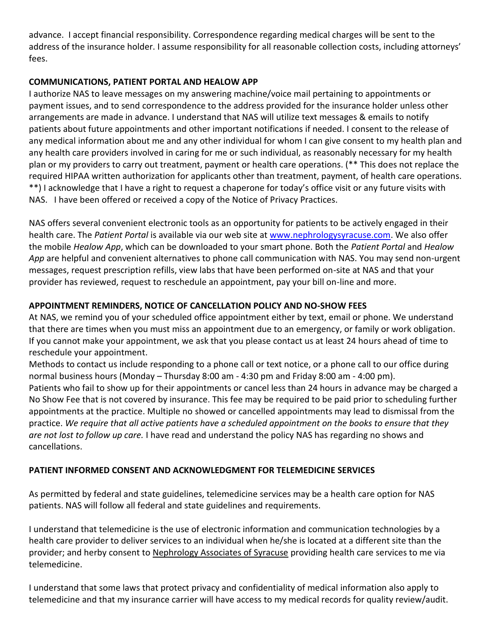advance. I accept financial responsibility. Correspondence regarding medical charges will be sent to the address of the insurance holder. I assume responsibility for all reasonable collection costs, including attorneys' fees.

## **COMMUNICATIONS, PATIENT PORTAL AND HEALOW APP**

I authorize NAS to leave messages on my answering machine/voice mail pertaining to appointments or payment issues, and to send correspondence to the address provided for the insurance holder unless other arrangements are made in advance. I understand that NAS will utilize text messages & emails to notify patients about future appointments and other important notifications if needed. I consent to the release of any medical information about me and any other individual for whom I can give consent to my health plan and any health care providers involved in caring for me or such individual, as reasonably necessary for my health plan or my providers to carry out treatment, payment or health care operations. (\*\* This does not replace the required HIPAA written authorization for applicants other than treatment, payment, of health care operations. \*\*) I acknowledge that I have a right to request a chaperone for today's office visit or any future visits with NAS. I have been offered or received a copy of the Notice of Privacy Practices.

NAS offers several convenient electronic tools as an opportunity for patients to be actively engaged in their health care. The *Patient Portal* is available via our web site at [www.nephrologysyracuse.com.](http://www.nephrologysyracuse.com/) We also offer the mobile *Healow App*, which can be downloaded to your smart phone. Both the *Patient Portal* and *Healow App* are helpful and convenient alternatives to phone call communication with NAS. You may send non-urgent messages, request prescription refills, view labs that have been performed on-site at NAS and that your provider has reviewed, request to reschedule an appointment, pay your bill on-line and more.

## **APPOINTMENT REMINDERS, NOTICE OF CANCELLATION POLICY AND NO-SHOW FEES**

At NAS, we remind you of your scheduled office appointment either by text, email or phone. We understand that there are times when you must miss an appointment due to an emergency, or family or work obligation. If you cannot make your appointment, we ask that you please contact us at least 24 hours ahead of time to reschedule your appointment.

Methods to contact us include responding to a phone call or text notice, or a phone call to our office during normal business hours (Monday – Thursday 8:00 am - 4:30 pm and Friday 8:00 am - 4:00 pm). Patients who fail to show up for their appointments or cancel less than 24 hours in advance may be charged a No Show Fee that is not covered by insurance. This fee may be required to be paid prior to scheduling further appointments at the practice. Multiple no showed or cancelled appointments may lead to dismissal from the practice. *We require that all active patients have a scheduled appointment on the books to ensure that they are not lost to follow up care.* I have read and understand the policy NAS has regarding no shows and cancellations.

# **PATIENT INFORMED CONSENT AND ACKNOWLEDGMENT FOR TELEMEDICINE SERVICES**

As permitted by federal and state guidelines, telemedicine services may be a health care option for NAS patients. NAS will follow all federal and state guidelines and requirements.

I understand that telemedicine is the use of electronic information and communication technologies by a health care provider to deliver services to an individual when he/she is located at a different site than the provider; and herby consent to Nephrology Associates of Syracuse providing health care services to me via telemedicine.

I understand that some laws that protect privacy and confidentiality of medical information also apply to telemedicine and that my insurance carrier will have access to my medical records for quality review/audit.